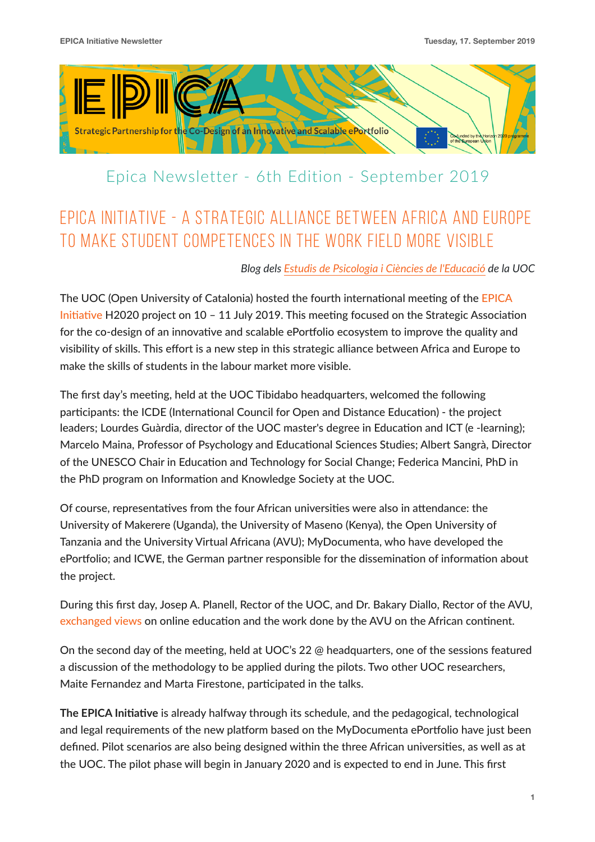

## Epica Newsletter - 6th Edition - September 2019

# EPICA INITIATIVE - A STRATEGIC ALLIANCE BETWEEN AFRICA AND EUROPE TO MAKE STUDENT COMPETENCES IN THE WORK FIELD MORE VISIBLE

## *Blog dels [Estudis de Psicologia i Ciències de l'Educació](http://epce.blogs.uoc.edu/es/2019/07/23/epica-initiative-alianza-estrategica-africa-y-europa-para-hacer-mas-visibles-las-competencias-los-estudiantes-mercado-laboral/) de la UOC*

The UOC (Open University of Catalonia) hosted the fourth international meeting of the EPICA Initiative H2020 project on 10 – 11 July 2019. This meeting focused on the Strategic Association for the co-design of an innovative and scalable ePortfolio ecosystem to improve the quality and visibility of skills. This effort is a new step in this strategic alliance between Africa and Europe to make the skills of students in the labour market more visible.

The first day's meeting, held at the UOC Tibidabo headquarters, welcomed the following participants: the ICDE (International Council for Open and Distance Education) - the project leaders; Lourdes Guàrdia, director of the UOC master's degree in Education and ICT (e -learning); Marcelo Maina, Professor of Psychology and Educational Sciences Studies; Albert Sangrà, Director of the UNESCO Chair in Education and Technology for Social Change; Federica Mancini, PhD in the PhD program on Information and Knowledge Society at the UOC.

Of course, representatives from the four African universities were also in attendance: the University of Makerere (Uganda), the University of Maseno (Kenya), the Open University of Tanzania and the University Virtual Africana (AVU); MyDocumenta, who have developed the ePortfolio; and ICWE, the German partner responsible for the dissemination of information about the project.

During this first day, Josep A. Planell, Rector of the UOC, and Dr. Bakary Diallo, Rector of the AVU, [exchanged views](https://www.uoc.edu/portal/es/agenda/2019/agenda_448.html?utm_medium=blogs&utm_source=tra_1_epce&utm_campaign=20191_nd_es_mktope_inte&utm_content=psic) on online education and the work done by the AVU on the African continent.

On the second day of the meeting, held at UOC's 22  $@$  headquarters, one of the sessions featured a discussion of the methodology to be applied during the pilots. Two other UOC researchers, Maite Fernandez and Marta Firestone, participated in the talks.

**The EPICA Initiative** is already halfway through its schedule, and the pedagogical, technological and legal requirements of the new platform based on the MyDocumenta ePortfolio have just been defined. Pilot scenarios are also being designed within the three African universities, as well as at the UOC. The pilot phase will begin in January 2020 and is expected to end in June. This first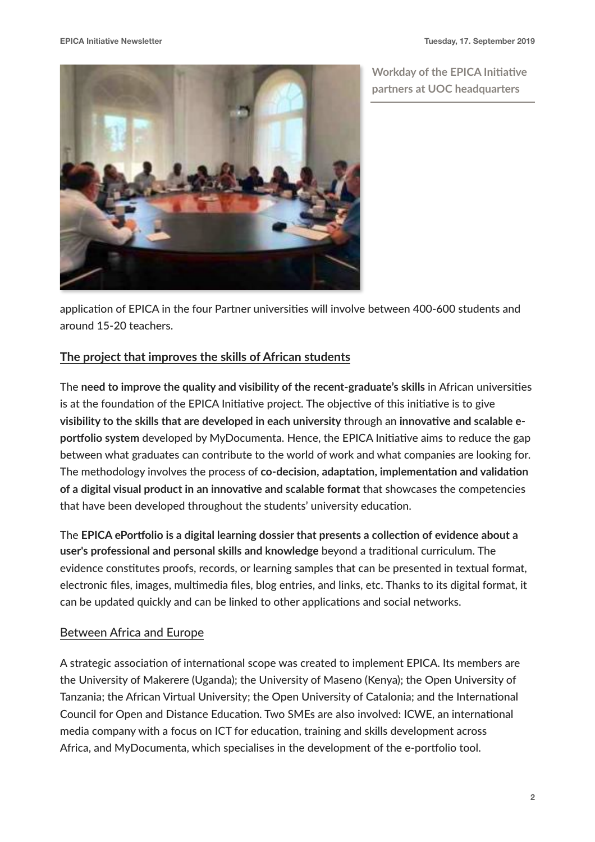**Workday of the EPICA Initiative partners at UOC headquarters** 



application of EPICA in the four Partner universities will involve between 400-600 students and around 15-20 teachers.

## **The project that improves the skills of African students**

The **need to improve the quality and visibility of the recent-graduate's skills in African universities** is at the foundation of the EPICA Initiative project. The objective of this initiative is to give visibility to the skills that are developed in each university through an innovative and scalable eportfolio system developed by MyDocumenta. Hence, the EPICA Initiative aims to reduce the gap between what graduates can contribute to the world of work and what companies are looking for. The methodology involves the process of co-decision, adaptation, implementation and validation **of a digital visual product in an innovative and scalable format that showcases the competencies** that have been developed throughout the students' university education.

The **EPICA** ePortfolio is a digital learning dossier that presents a collection of evidence about a user's professional and personal skills and knowledge beyond a traditional curriculum. The evidence constitutes proofs, records, or learning samples that can be presented in textual format, electronic files, images, multimedia files, blog entries, and links, etc. Thanks to its digital format, it can be updated quickly and can be linked to other applications and social networks.

## Between Africa and Europe

A strategic association of international scope was created to implement EPICA. Its members are the University of Makerere (Uganda); the University of Maseno (Kenya); the Open University of Tanzania; the African Virtual University; the Open University of Catalonia; and the International Council for Open and Distance Education. Two SMEs are also involved: ICWE, an international media company with a focus on ICT for education, training and skills development across Africa, and MyDocumenta, which specialises in the development of the e-portfolio tool.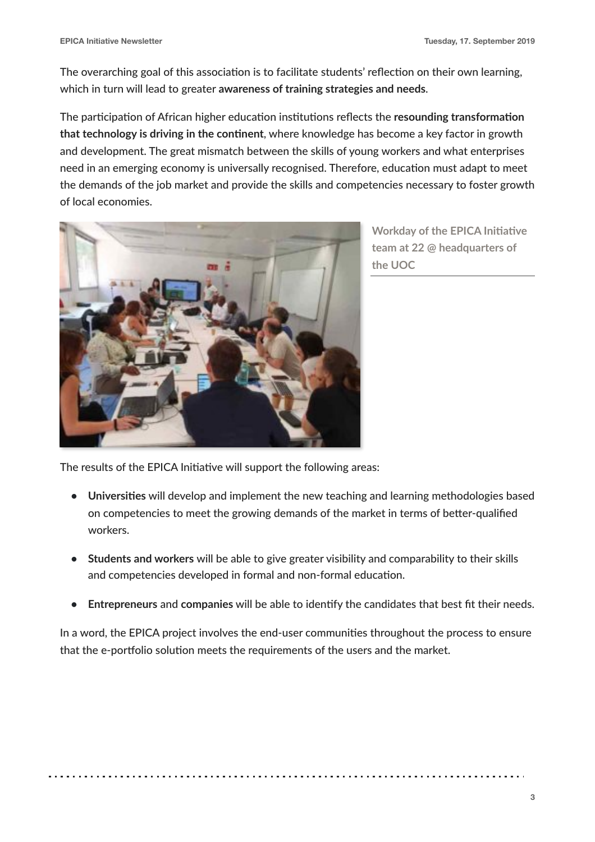The overarching goal of this association is to facilitate students' reflection on their own learning, which in turn will lead to greater **awareness of training strategies and needs**.

The participation of African higher education institutions reflects the resounding transformation that technology is driving in the continent, where knowledge has become a key factor in growth and development. The great mismatch between the skills of young workers and what enterprises need in an emerging economy is universally recognised. Therefore, education must adapt to meet the demands of the job market and provide the skills and competencies necessary to foster growth of local economies.



**Workday of the EPICA Initiative team at 22 @ headquarters of the UOC**

The results of the EPICA Initiative will support the following areas:

- Universities will develop and implement the new teaching and learning methodologies based on competencies to meet the growing demands of the market in terms of better-qualified workers.
- **• Students and workers** will be able to give greater visibility and comparability to their skills and competencies developed in formal and non-formal education.
- **• Entrepreneurs** and **companies** will be able to iden8fy the candidates that best fit their needs.

In a word, the EPICA project involves the end-user communities throughout the process to ensure that the e-portfolio solution meets the requirements of the users and the market.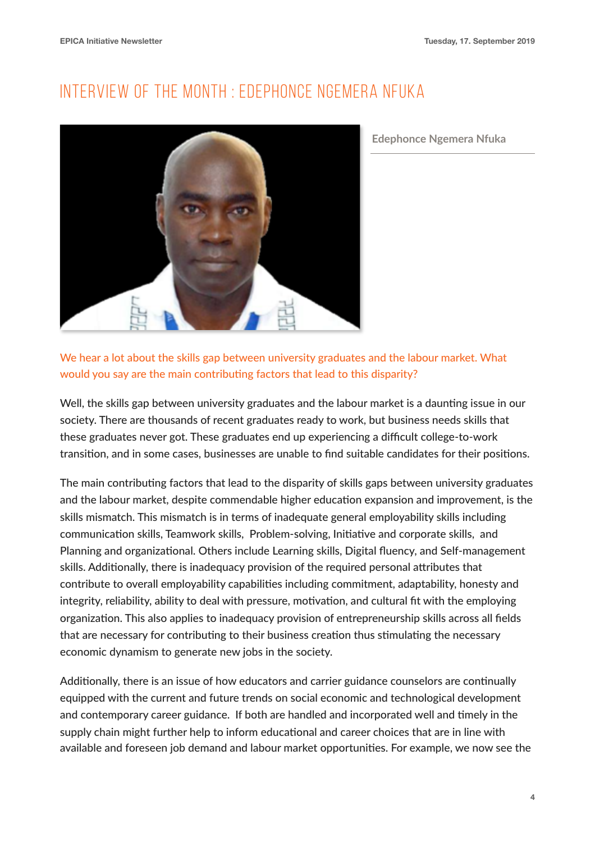# INTERVIEW OF THE MONTH : EDEPHONCE NGEMERA NFUKA



**Edephonce Ngemera Nfuka** 

We hear a lot about the skills gap between university graduates and the labour market. What would you say are the main contributing factors that lead to this disparity?

Well, the skills gap between university graduates and the labour market is a daunting issue in our society. There are thousands of recent graduates ready to work, but business needs skills that these graduates never got. These graduates end up experiencing a difficult college-to-work transition, and in some cases, businesses are unable to find suitable candidates for their positions.

The main contributing factors that lead to the disparity of skills gaps between university graduates and the labour market, despite commendable higher education expansion and improvement, is the skills mismatch. This mismatch is in terms of inadequate general employability skills including communication skills, Teamwork skills, Problem-solving, Initiative and corporate skills, and Planning and organizational. Others include Learning skills, Digital fluency, and Self-management skills. Additionally, there is inadequacy provision of the required personal attributes that contribute to overall employability capabilities including commitment, adaptability, honesty and integrity, reliability, ability to deal with pressure, motivation, and cultural fit with the employing organization. This also applies to inadequacy provision of entrepreneurship skills across all fields that are necessary for contributing to their business creation thus stimulating the necessary economic dynamism to generate new jobs in the society.

Additionally, there is an issue of how educators and carrier guidance counselors are continually equipped with the current and future trends on social economic and technological development and contemporary career guidance. If both are handled and incorporated well and timely in the supply chain might further help to inform educational and career choices that are in line with available and foreseen job demand and labour market opportunities. For example, we now see the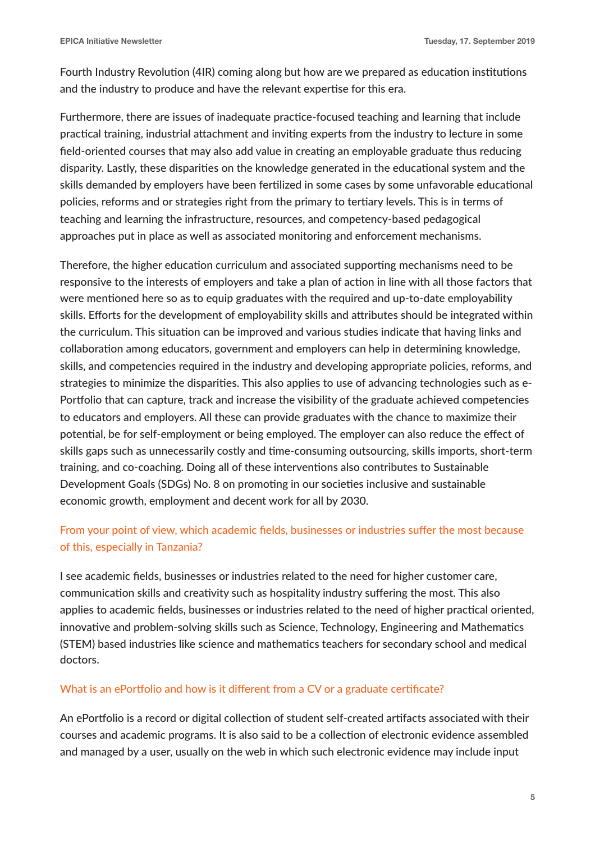Fourth Industry Revolution (4IR) coming along but how are we prepared as education institutions and the industry to produce and have the relevant expertise for this era.

Furthermore, there are issues of inadequate practice-focused teaching and learning that include practical training, industrial attachment and inviting experts from the industry to lecture in some field-oriented courses that may also add value in creating an employable graduate thus reducing disparity. Lastly, these disparities on the knowledge generated in the educational system and the skills demanded by employers have been fertilized in some cases by some unfavorable educational policies, reforms and or strategies right from the primary to tertiary levels. This is in terms of teaching and learning the infrastructure, resources, and competency-based pedagogical approaches put in place as well as associated monitoring and enforcement mechanisms.

Therefore, the higher education curriculum and associated supporting mechanisms need to be responsive to the interests of employers and take a plan of action in line with all those factors that were mentioned here so as to equip graduates with the required and up-to-date employability skills. Efforts for the development of employability skills and attributes should be integrated within the curriculum. This situation can be improved and various studies indicate that having links and collaboration among educators, government and employers can help in determining knowledge, skills, and competencies required in the industry and developing appropriate policies, reforms, and strategies to minimize the disparities. This also applies to use of advancing technologies such as e-Portfolio that can capture, track and increase the visibility of the graduate achieved competencies to educators and employers. All these can provide graduates with the chance to maximize their potential, be for self-employment or being employed. The employer can also reduce the effect of skills gaps such as unnecessarily costly and time-consuming outsourcing, skills imports, short-term training, and co-coaching. Doing all of these interventions also contributes to Sustainable Development Goals (SDGs) No. 8 on promoting in our societies inclusive and sustainable economic growth, employment and decent work for all by 2030.

## From your point of view, which academic fields, businesses or industries suffer the most because of this, especially in Tanzania?

I see academic fields, businesses or industries related to the need for higher customer care, communication skills and creativity such as hospitality industry suffering the most. This also applies to academic fields, businesses or industries related to the need of higher practical oriented, innovative and problem-solving skills such as Science, Technology, Engineering and Mathematics (STEM) based industries like science and mathematics teachers for secondary school and medical doctors.

#### What is an ePortfolio and how is it different from a CV or a graduate certificate?

An ePortfolio is a record or digital collection of student self-created artifacts associated with their courses and academic programs. It is also said to be a collection of electronic evidence assembled and managed by a user, usually on the web in which such electronic evidence may include input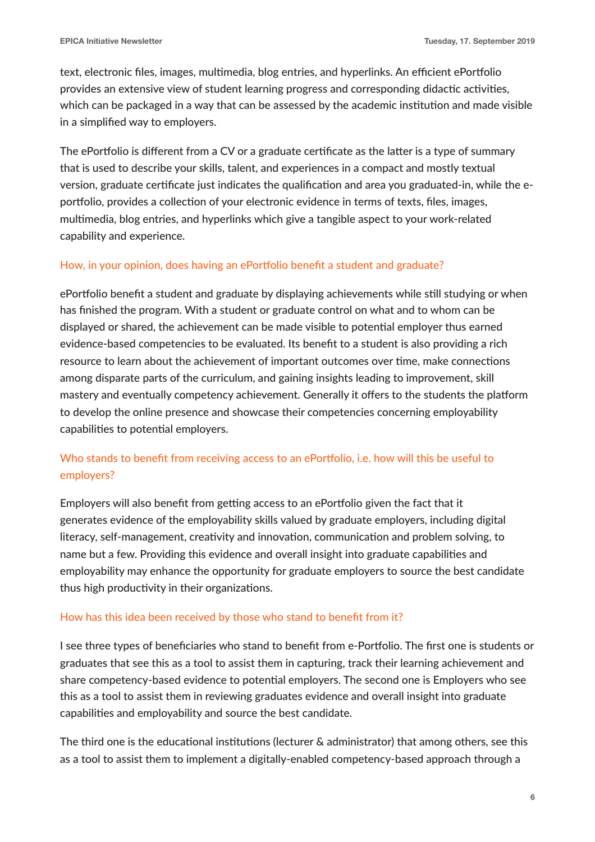text, electronic files, images, multimedia, blog entries, and hyperlinks. An efficient ePortfolio provides an extensive view of student learning progress and corresponding didactic activities, which can be packaged in a way that can be assessed by the academic institution and made visible in a simplified way to employers.

The ePortfolio is different from a CV or a graduate certificate as the latter is a type of summary that is used to describe your skills, talent, and experiences in a compact and mostly textual version, graduate certificate just indicates the qualification and area you graduated-in, while the eportfolio, provides a collection of your electronic evidence in terms of texts, files, images, multimedia, blog entries, and hyperlinks which give a tangible aspect to your work-related capability and experience.

#### How, in your opinion, does having an ePortfolio benefit a student and graduate?

ePortfolio benefit a student and graduate by displaying achievements while still studying or when has finished the program. With a student or graduate control on what and to whom can be displayed or shared, the achievement can be made visible to potential employer thus earned evidence-based competencies to be evaluated. Its benefit to a student is also providing a rich resource to learn about the achievement of important outcomes over time, make connections among disparate parts of the curriculum, and gaining insights leading to improvement, skill mastery and eventually competency achievement. Generally it offers to the students the platform to develop the online presence and showcase their competencies concerning employability capabilities to potential employers.

## Who stands to benefit from receiving access to an ePortfolio, i.e. how will this be useful to employers?

Employers will also benefit from getting access to an ePortfolio given the fact that it generates evidence of the employability skills valued by graduate employers, including digital literacy, self-management, creativity and innovation, communication and problem solving, to name but a few. Providing this evidence and overall insight into graduate capabilities and employability may enhance the opportunity for graduate employers to source the best candidate thus high productivity in their organizations.

#### How has this idea been received by those who stand to benefit from it?

I see three types of beneficiaries who stand to benefit from e-Portfolio. The first one is students or graduates that see this as a tool to assist them in capturing, track their learning achievement and share competency-based evidence to potential employers. The second one is Employers who see this as a tool to assist them in reviewing graduates evidence and overall insight into graduate capabilities and employability and source the best candidate.

The third one is the educational institutions (lecturer & administrator) that among others, see this as a tool to assist them to implement a digitally-enabled competency-based approach through a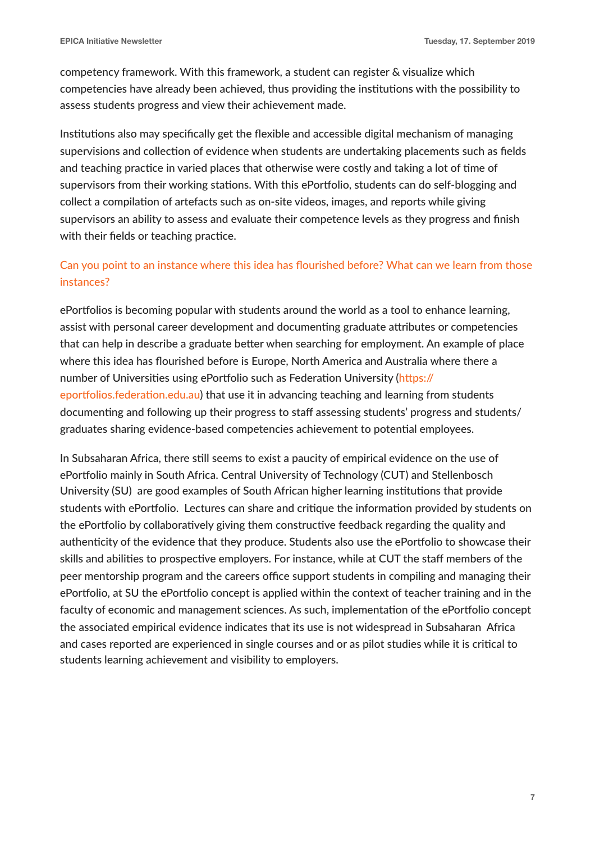competency framework. With this framework, a student can register & visualize which competencies have already been achieved, thus providing the institutions with the possibility to assess students progress and view their achievement made.

Institutions also may specifically get the flexible and accessible digital mechanism of managing supervisions and collection of evidence when students are undertaking placements such as fields and teaching practice in varied places that otherwise were costly and taking a lot of time of supervisors from their working stations. With this ePortfolio, students can do self-blogging and collect a compilation of artefacts such as on-site videos, images, and reports while giving supervisors an ability to assess and evaluate their competence levels as they progress and finish with their fields or teaching practice.

## Can you point to an instance where this idea has flourished before? What can we learn from those instances?

ePortfolios is becoming popular with students around the world as a tool to enhance learning, assist with personal career development and documenting graduate attributes or competencies that can help in describe a graduate better when searching for employment. An example of place where this idea has flourished before is Europe, North America and Australia where there a number of Universities using ePortfolio such as Federation University (https:// eportfolios.federation.edu.au) that use it in advancing teaching and learning from students documenting and following up their progress to staff assessing students' progress and students/ graduates sharing evidence-based competencies achievement to potential employees.

In Subsaharan Africa, there still seems to exist a paucity of empirical evidence on the use of ePortfolio mainly in South Africa. Central University of Technology (CUT) and Stellenbosch University (SU) are good examples of South African higher learning institutions that provide students with ePortfolio. Lectures can share and critique the information provided by students on the ePortfolio by collaboratively giving them constructive feedback regarding the quality and authenticity of the evidence that they produce. Students also use the ePortfolio to showcase their skills and abilities to prospective employers. For instance, while at CUT the staff members of the peer mentorship program and the careers office support students in compiling and managing their ePortfolio, at SU the ePortfolio concept is applied within the context of teacher training and in the faculty of economic and management sciences. As such, implementation of the ePortfolio concept the associated empirical evidence indicates that its use is not widespread in Subsaharan Africa and cases reported are experienced in single courses and or as pilot studies while it is critical to students learning achievement and visibility to employers.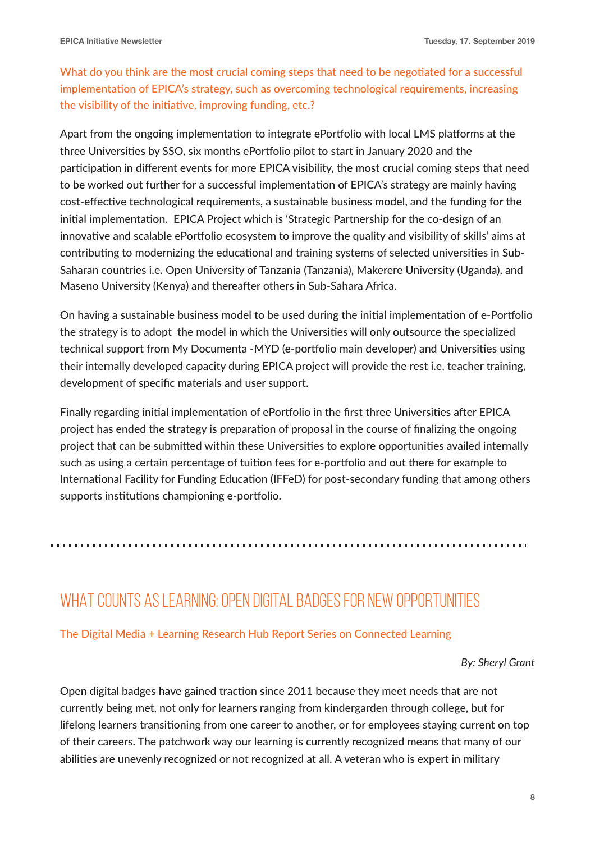What do you think are the most crucial coming steps that need to be negotiated for a successful implementation of EPICA's strategy, such as overcoming technological requirements, increasing the visibility of the initiative, improving funding, etc.?

Apart from the ongoing implementation to integrate ePortfolio with local LMS platforms at the three Universities by SSO, six months ePortfolio pilot to start in January 2020 and the participation in different events for more EPICA visibility, the most crucial coming steps that need to be worked out further for a successful implementation of EPICA's strategy are mainly having cost-effective technological requirements, a sustainable business model, and the funding for the initial implementation. EPICA Project which is 'Strategic Partnership for the co-design of an innovative and scalable ePortfolio ecosystem to improve the quality and visibility of skills' aims at contributing to modernizing the educational and training systems of selected universities in Sub-Saharan countries i.e. Open University of Tanzania (Tanzania), Makerere University (Uganda), and Maseno University (Kenya) and thereafter others in Sub-Sahara Africa.

On having a sustainable business model to be used during the initial implementation of e-Portfolio the strategy is to adopt the model in which the Universities will only outsource the specialized technical support from My Documenta -MYD (e-portfolio main developer) and Universities using their internally developed capacity during EPICA project will provide the rest i.e. teacher training, development of specific materials and user support.

Finally regarding initial implementation of ePortfolio in the first three Universities after EPICA project has ended the strategy is preparation of proposal in the course of finalizing the ongoing project that can be submitted within these Universities to explore opportunities availed internally such as using a certain percentage of tuition fees for e-portfolio and out there for example to International Facility for Funding Education (IFFeD) for post-secondary funding that among others supports institutions championing e-portfolio.

## WHAT COUNTS AS LEARNING: OPEN DIGITAL BADGES FOR NEW OPPORTUNITIES

#### [The Digital Media + Learning Research Hub Report Series on Connected Learning](https://dmlhub.net/wp-content/uploads/files/WhatCountsAsLearning_Grant.pdf)

*By: Sheryl Grant*

Open digital badges have gained traction since 2011 because they meet needs that are not currently being met, not only for learners ranging from kindergarden through college, but for lifelong learners transitioning from one career to another, or for employees staying current on top of their careers. The patchwork way our learning is currently recognized means that many of our abilities are unevenly recognized or not recognized at all. A veteran who is expert in military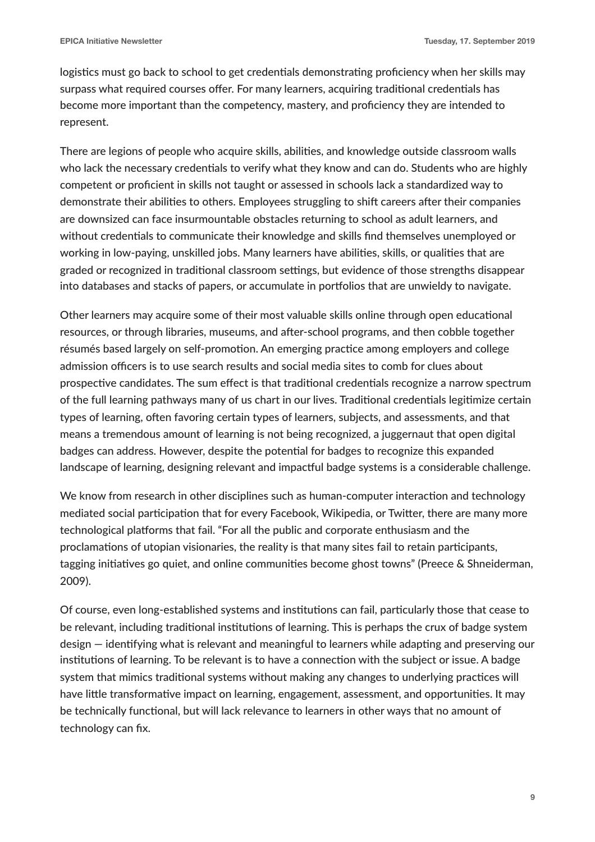logistics must go back to school to get credentials demonstrating proficiency when her skills may surpass what required courses offer. For many learners, acquiring traditional credentials has become more important than the competency, mastery, and proficiency they are intended to represent.

There are legions of people who acquire skills, abilities, and knowledge outside classroom walls who lack the necessary credentials to verify what they know and can do. Students who are highly competent or proficient in skills not taught or assessed in schools lack a standardized way to demonstrate their abilities to others. Employees struggling to shift careers after their companies are downsized can face insurmountable obstacles returning to school as adult learners, and without credentials to communicate their knowledge and skills find themselves unemployed or working in low-paying, unskilled jobs. Many learners have abilities, skills, or qualities that are graded or recognized in traditional classroom settings, but evidence of those strengths disappear into databases and stacks of papers, or accumulate in portfolios that are unwieldy to navigate.

Other learners may acquire some of their most valuable skills online through open educational resources, or through libraries, museums, and after-school programs, and then cobble together résumés based largely on self-promotion. An emerging practice among employers and college admission officers is to use search results and social media sites to comb for clues about prospective candidates. The sum effect is that traditional credentials recognize a narrow spectrum of the full learning pathways many of us chart in our lives. Traditional credentials legitimize certain types of learning, often favoring certain types of learners, subjects, and assessments, and that means a tremendous amount of learning is not being recognized, a juggernaut that open digital badges can address. However, despite the potential for badges to recognize this expanded landscape of learning, designing relevant and impactful badge systems is a considerable challenge.

We know from research in other disciplines such as human-computer interaction and technology mediated social participation that for every Facebook, Wikipedia, or Twitter, there are many more technological platforms that fail. "For all the public and corporate enthusiasm and the proclamations of utopian visionaries, the reality is that many sites fail to retain participants, tagging initiatives go quiet, and online communities become ghost towns" (Preece & Shneiderman, 2009).

Of course, even long-established systems and institutions can fail, particularly those that cease to be relevant, including traditional institutions of learning. This is perhaps the crux of badge system  $\gamma$  design  $-$  identifying what is relevant and meaningful to learners while adapting and preserving our institutions of learning. To be relevant is to have a connection with the subject or issue. A badge system that mimics traditional systems without making any changes to underlying practices will have little transformative impact on learning, engagement, assessment, and opportunities. It may be technically functional, but will lack relevance to learners in other ways that no amount of technology can fix.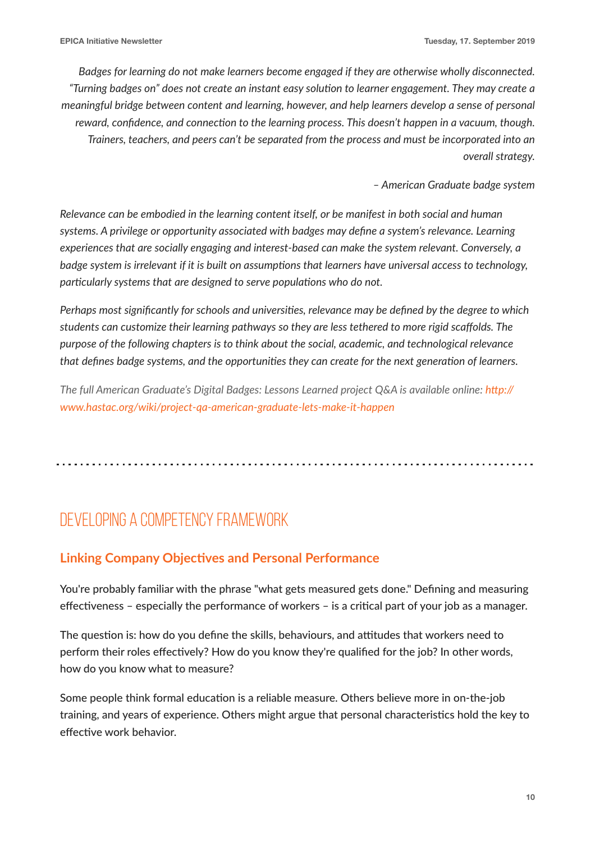*Badges for learning do not make learners become engaged if they are otherwise wholly disconnected.*  "Turning badges on" does not create an instant easy solution to learner engagement. They may create a *meaningful bridge between content and learning, however, and help learners develop a sense of personal*  reward, confidence, and connection to the learning process. This doesn't happen in a vacuum, though. *Trainers, teachers, and peers can't be separated from the process and must be incorporated into an overall strategy.*

*– American Graduate badge system* 

*Relevance can be embodied in the learning content itself, or be manifest in both social and human systems. A privilege or opportunity associated with badges may define a system's relevance. Learning experiences that are socially engaging and interest-based can make the system relevant. Conversely, a*  badge system is irrelevant if it is built on assumptions that learners have universal access to technology, *particularly systems that are designed to serve populations who do not.* 

*Perhaps most significantly for schools and universities, relevance may be defined by the degree to which students can customize their learning pathways so they are less tethered to more rigid scaffolds. The purpose of the following chapters is to think about the social, academic, and technological relevance that defines badge systems, and the opportunities they can create for the next generation of learners.* 

*The full American Graduate's Digital Badges: Lessons Learned project Q&A is available online: http:// [www.hastac.org/wiki/project-qa-american-graduate-lets-make-it-happen](http://www.hastac.org/wiki/project-qa-american-graduate-lets-make-it-happen)*

# DEVELOPING A COMPETENCY FRAMEWORK

## **Linking Company Objectives and Personal Performance**

You're probably familiar with the phrase "what gets measured gets done." Defining and measuring effectiveness – especially the performance of workers – is a critical part of your job as a manager.

The question is: how do you define the skills, behaviours, and attitudes that workers need to perform their roles effectively? How do you know they're qualified for the job? In other words, how do you know what to measure?

Some people think formal education is a reliable measure. Others believe more in on-the-job training, and years of experience. Others might argue that personal characteristics hold the key to effective work behavior.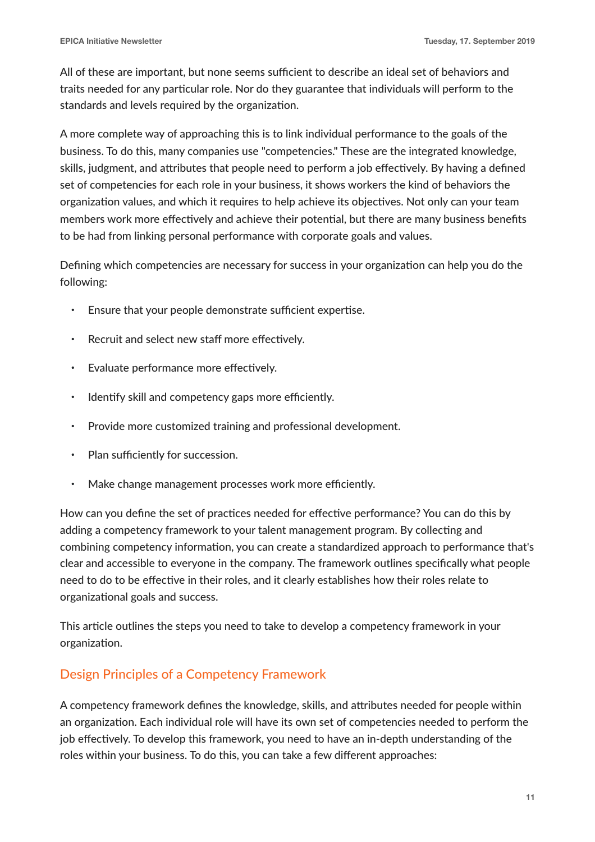All of these are important, but none seems sufficient to describe an ideal set of behaviors and traits needed for any particular role. Nor do they guarantee that individuals will perform to the standards and levels required by the organization.

A more complete way of approaching this is to link individual performance to the goals of the business. To do this, many companies use "competencies." These are the integrated knowledge, skills, judgment, and attributes that people need to perform a job effectively. By having a defined set of competencies for each role in your business, it shows workers the kind of behaviors the organization values, and which it requires to help achieve its objectives. Not only can your team members work more effectively and achieve their potential, but there are many business benefits to be had from linking personal performance with corporate goals and values.

Defining which competencies are necessary for success in your organization can help you do the following:

- Ensure that your people demonstrate sufficient expertise.
- Recruit and select new staff more effectively.
- Evaluate performance more effectively.
- Identify skill and competency gaps more efficiently.
- Provide more customized training and professional development.
- Plan sufficiently for succession.
- Make change management processes work more efficiently.

How can you define the set of practices needed for effective performance? You can do this by adding a competency framework to your talent management program. By collecting and combining competency information, you can create a standardized approach to performance that's clear and accessible to everyone in the company. The framework outlines specifically what people need to do to be effective in their roles, and it clearly establishes how their roles relate to organizational goals and success.

This article outlines the steps you need to take to develop a competency framework in your organization.

## Design Principles of a Competency Framework

A competency framework defines the knowledge, skills, and attributes needed for people within an organization. Each individual role will have its own set of competencies needed to perform the job effectively. To develop this framework, you need to have an in-depth understanding of the roles within your business. To do this, you can take a few different approaches: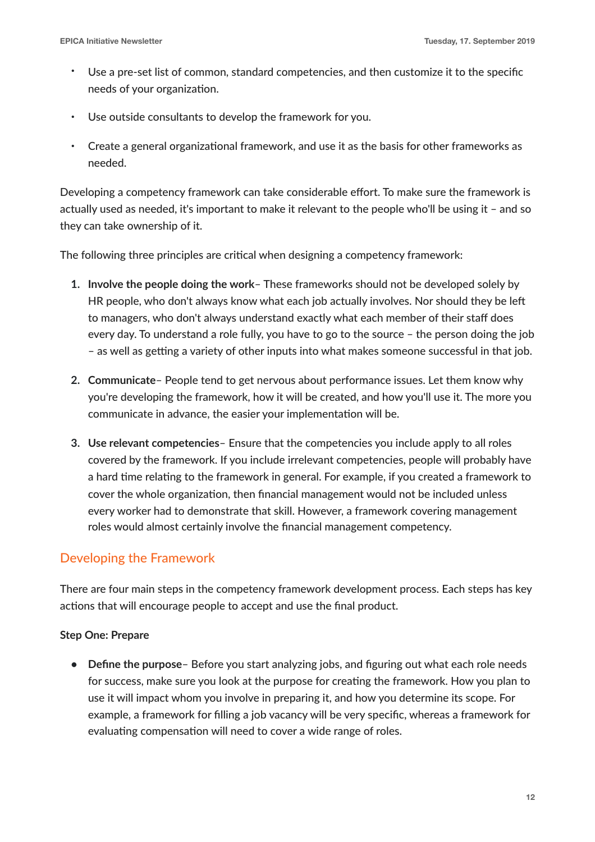- Use a pre-set list of common, standard competencies, and then customize it to the specific needs of your organization.
- Use outside consultants to develop the framework for you.
- Create a general organizational framework, and use it as the basis for other frameworks as needed.

Developing a competency framework can take considerable effort. To make sure the framework is actually used as needed, it's important to make it relevant to the people who'll be using it – and so they can take ownership of it.

The following three principles are critical when designing a competency framework:

- **1. Involve the people doing the work** These frameworks should not be developed solely by HR people, who don't always know what each job actually involves. Nor should they be left to managers, who don't always understand exactly what each member of their staff does every day. To understand a role fully, you have to go to the source – the person doing the job  $-$  as well as getting a variety of other inputs into what makes someone successful in that job.
- **2. Communicate** People tend to get nervous about performance issues. Let them know why you're developing the framework, how it will be created, and how you'll use it. The more you communicate in advance, the easier your implementation will be.
- **3. Use relevant competencies** Ensure that the competencies you include apply to all roles covered by the framework. If you include irrelevant competencies, people will probably have a hard time relating to the framework in general. For example, if you created a framework to cover the whole organization, then financial management would not be included unless every worker had to demonstrate that skill. However, a framework covering management roles would almost certainly involve the financial management competency.

## Developing the Framework

There are four main steps in the competency framework development process. Each steps has key actions that will encourage people to accept and use the final product.

## **Step One: Prepare**

**• Define the purpose**– Before you start analyzing jobs, and figuring out what each role needs for success, make sure you look at the purpose for creating the framework. How you plan to use it will impact whom you involve in preparing it, and how you determine its scope. For example, a framework for filling a job vacancy will be very specific, whereas a framework for evaluating compensation will need to cover a wide range of roles.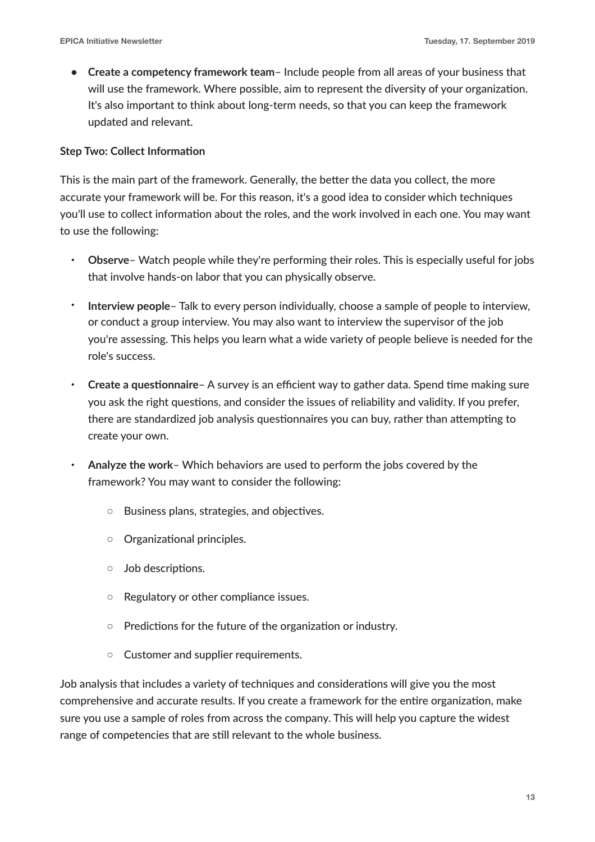**• Create a competency framework team**– Include people from all areas of your business that will use the framework. Where possible, aim to represent the diversity of your organization. It's also important to think about long-term needs, so that you can keep the framework updated and relevant.

### **Step Two: Collect Information**

This is the main part of the framework. Generally, the better the data you collect, the more accurate your framework will be. For this reason, it's a good idea to consider which techniques you'll use to collect information about the roles, and the work involved in each one. You may want to use the following:

- **Observe** Watch people while they're performing their roles. This is especially useful for jobs that involve hands-on labor that you can physically observe.
- **Interview people** Talk to every person individually, choose a sample of people to interview, or conduct a group interview. You may also want to interview the supervisor of the job you're assessing. This helps you learn what a wide variety of people believe is needed for the role's success.
- Create a questionnaire A survey is an efficient way to gather data. Spend time making sure you ask the right questions, and consider the issues of reliability and validity. If you prefer, there are standardized job analysis questionnaires you can buy, rather than attempting to create your own.
- **Analyze the work** Which behaviors are used to perform the jobs covered by the framework? You may want to consider the following:
	- Business plans, strategies, and objectives.
	- Organizational principles.
	- Job descriptions.
	- Regulatory or other compliance issues.
	- Predictions for the future of the organization or industry.
	- Customer and supplier requirements.

Job analysis that includes a variety of techniques and considerations will give you the most comprehensive and accurate results. If you create a framework for the entire organization, make sure you use a sample of roles from across the company. This will help you capture the widest range of competencies that are still relevant to the whole business.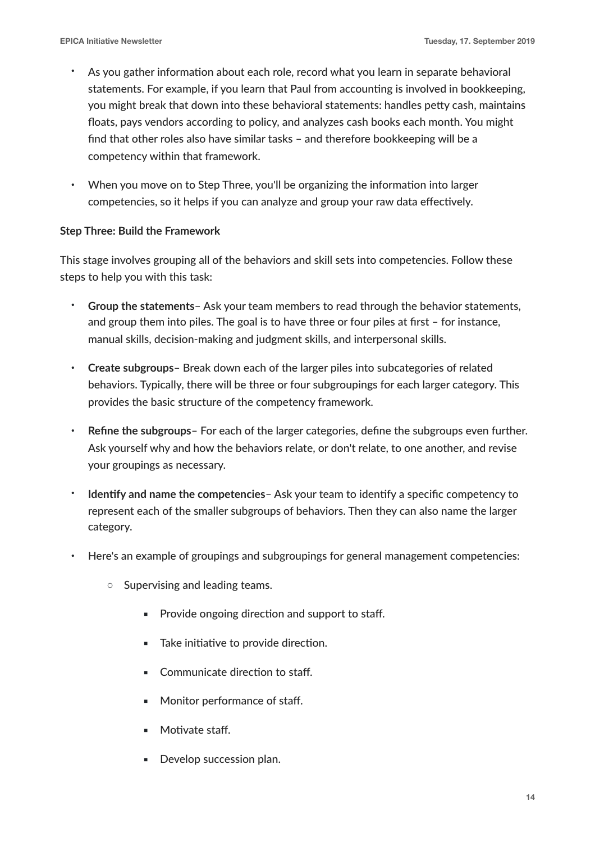- As you gather information about each role, record what you learn in separate behavioral statements. For example, if you learn that Paul from accounting is involved in bookkeeping, you might break that down into these behavioral statements: handles petty cash, maintains floats, pays vendors according to policy, and analyzes cash books each month. You might find that other roles also have similar tasks – and therefore bookkeeping will be a competency within that framework.
- When you move on to Step Three, you'll be organizing the information into larger competencies, so it helps if you can analyze and group your raw data effectively.

## **Step Three: Build the Framework**

This stage involves grouping all of the behaviors and skill sets into competencies. Follow these steps to help you with this task:

- **Group the statements** Ask your team members to read through the behavior statements, and group them into piles. The goal is to have three or four piles at first – for instance, manual skills, decision-making and judgment skills, and interpersonal skills.
- **Create subgroups** Break down each of the larger piles into subcategories of related behaviors. Typically, there will be three or four subgroupings for each larger category. This provides the basic structure of the competency framework.
- **Refine the subgroups** For each of the larger categories, define the subgroups even further. Ask yourself why and how the behaviors relate, or don't relate, to one another, and revise your groupings as necessary.
- **Identify and name the competencies Ask your team to identify a specific competency to** represent each of the smaller subgroups of behaviors. Then they can also name the larger category.
- Here's an example of groupings and subgroupings for general management competencies:
	- Supervising and leading teams.
		- Provide ongoing direction and support to staff.
		- Take initiative to provide direction.
		- Communicate direction to staff.
		- Monitor performance of staff.
		- Motivate staff.
		- **•** Develop succession plan.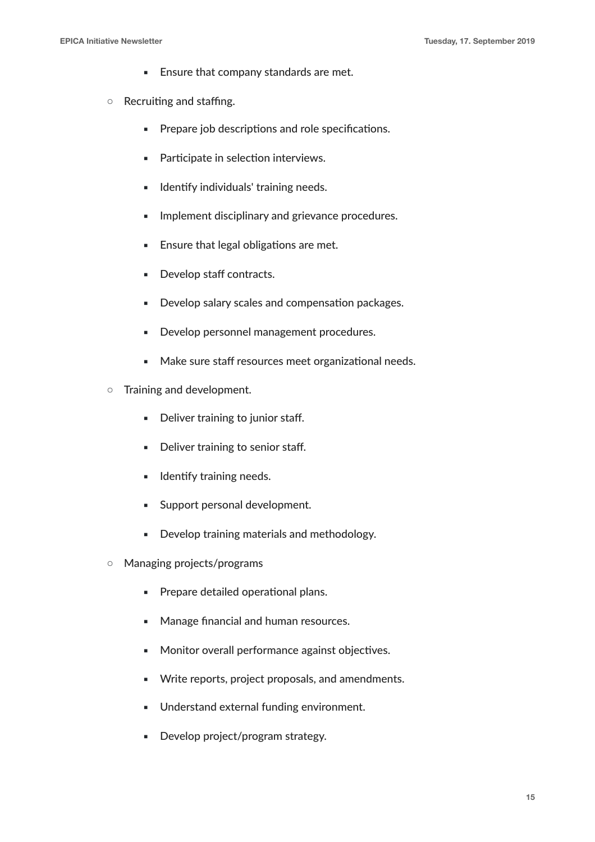- Ensure that company standards are met.
- Recruiting and staffing.
	- **•** Prepare job descriptions and role specifications.
	- Participate in selection interviews.
	- **■** Identify individuals' training needs.
	- **■** Implement disciplinary and grievance procedures.
	- **Ensure that legal obligations are met.**
	- Develop staff contracts.
	- **Develop salary scales and compensation packages.**
	- **Develop personnel management procedures.**
	- Make sure staff resources meet organizational needs.
- Training and development.
	- Deliver training to junior staff.
	- Deliver training to senior staff.
	- **■** Identify training needs.
	- **EXECUTE:** Support personal development.
	- Develop training materials and methodology.
- Managing projects/programs
	- **Prepare detailed operational plans.**
	- Manage financial and human resources.
	- Monitor overall performance against objectives.
	- Write reports, project proposals, and amendments.
	- Understand external funding environment.
	- Develop project/program strategy.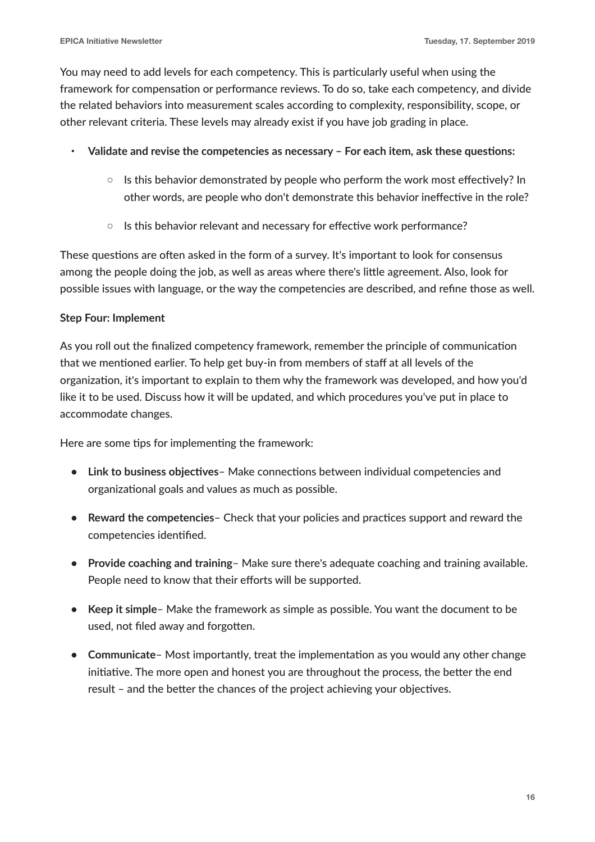You may need to add levels for each competency. This is particularly useful when using the framework for compensation or performance reviews. To do so, take each competency, and divide the related behaviors into measurement scales according to complexity, responsibility, scope, or other relevant criteria. These levels may already exist if you have job grading in place.

- Validate and revise the competencies as necessary For each item, ask these questions:
	- Is this behavior demonstrated by people who perform the work most effectively? In other words, are people who don't demonstrate this behavior ineffective in the role?
	- Is this behavior relevant and necessary for effective work performance?

These questions are often asked in the form of a survey. It's important to look for consensus among the people doing the job, as well as areas where there's little agreement. Also, look for possible issues with language, or the way the competencies are described, and refine those as well.

## **Step Four: Implement**

As you roll out the finalized competency framework, remember the principle of communication that we mentioned earlier. To help get buy-in from members of staff at all levels of the organization, it's important to explain to them why the framework was developed, and how you'd like it to be used. Discuss how it will be updated, and which procedures you've put in place to accommodate changes.

Here are some tips for implementing the framework:

- Link to business objectives Make connections between individual competencies and organizational goals and values as much as possible.
- **Reward the competencies** Check that your policies and practices support and reward the competencies identified.
- **• Provide coaching and training** Make sure there's adequate coaching and training available. People need to know that their efforts will be supported.
- **• Keep it simple** Make the framework as simple as possible. You want the document to be used, not filed away and forgotten.
- **Communicate** Most importantly, treat the implementation as you would any other change initiative. The more open and honest you are throughout the process, the better the end result - and the better the chances of the project achieving your objectives.